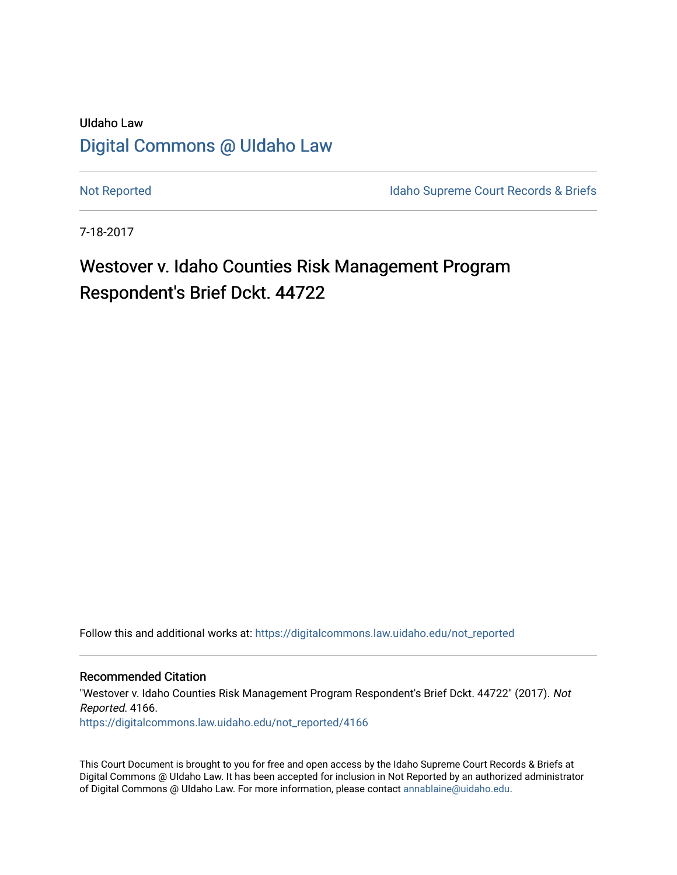## UIdaho Law [Digital Commons @ UIdaho Law](https://digitalcommons.law.uidaho.edu/)

[Not Reported](https://digitalcommons.law.uidaho.edu/not_reported) **Idaho Supreme Court Records & Briefs** 

7-18-2017

# Westover v. Idaho Counties Risk Management Program Respondent's Brief Dckt. 44722

Follow this and additional works at: [https://digitalcommons.law.uidaho.edu/not\\_reported](https://digitalcommons.law.uidaho.edu/not_reported?utm_source=digitalcommons.law.uidaho.edu%2Fnot_reported%2F4166&utm_medium=PDF&utm_campaign=PDFCoverPages) 

Recommended Citation

"Westover v. Idaho Counties Risk Management Program Respondent's Brief Dckt. 44722" (2017). Not Reported. 4166. [https://digitalcommons.law.uidaho.edu/not\\_reported/4166](https://digitalcommons.law.uidaho.edu/not_reported/4166?utm_source=digitalcommons.law.uidaho.edu%2Fnot_reported%2F4166&utm_medium=PDF&utm_campaign=PDFCoverPages)

This Court Document is brought to you for free and open access by the Idaho Supreme Court Records & Briefs at Digital Commons @ UIdaho Law. It has been accepted for inclusion in Not Reported by an authorized administrator of Digital Commons @ UIdaho Law. For more information, please contact [annablaine@uidaho.edu](mailto:annablaine@uidaho.edu).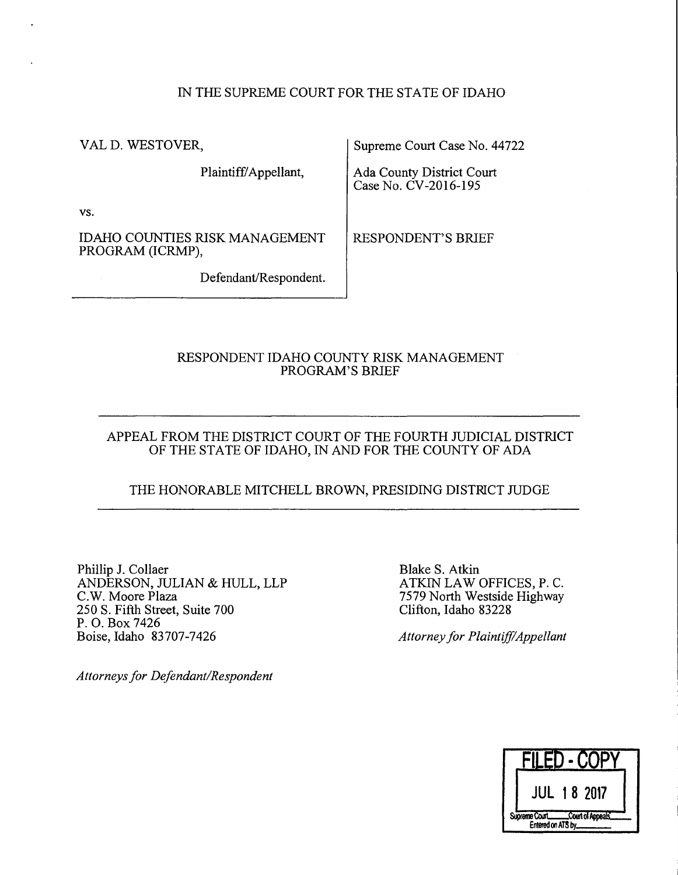### IN THE SUPREME COURT FOR THE STATE OF IDAHO

VALD. WESTOVER,

Plaintiff/Appellant,

Supreme Court Case No. 44722

Ada County District Court Case No. CV-2016-195

vs.

IDAHO COUNTIES RISK MANAGEMENT PROGRAM (ICRMP),

Defendant/Respondent.

RESPONDENT'S BRIEF

### RESPONDENT IDAHO COUNTY RISK MANAGEMENT PROGRAM'S BRIEF

#### APPEAL FROM THE DISTRICT COURT OF THE FOURTH JUDICIAL DISTRICT OF THE STATE OF IDAHO, IN AND FOR THE COUNTY OF ADA

## THE HONORABLE MITCHELL BROWN, PRESIDING DISTRICT JUDGE

Phillip J. Collaer ANDERSON, JULIAN & HULL, LLP C.W. Moore Plaza 250 S. Fifth Street, Suite 700 P. 0. Box 7426 Boise, Idaho 83707-7426

*Attorneys for Defendant/Respondent* 

Blake S. Atkin ATKIN LAW OFFICES, P. C. 7579 North Westside Highway Clifton, Idaho 83228

*Attorney for Plaintiff/Appellant* 

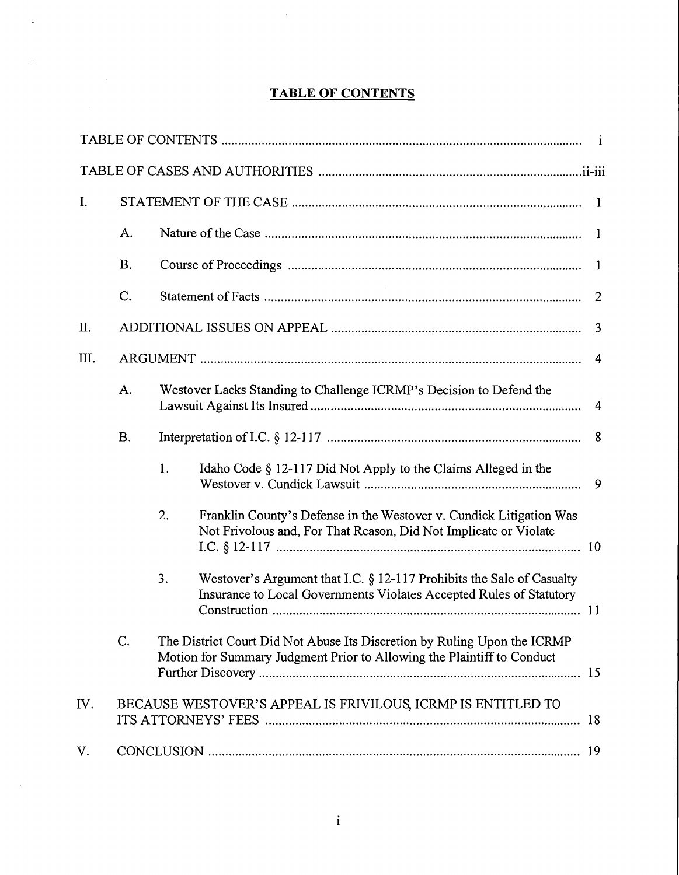## **TABLE OF CONTENTS**

 $\sim 10$ 

 $\ddot{\phantom{a}}$ 

 $\mathbb{R}^{\mathbb{Z}^2}$ 

 $\sim$   $\sim$ 

| I.   |                                                                    |                                                                                                                                                       |  |  |  |
|------|--------------------------------------------------------------------|-------------------------------------------------------------------------------------------------------------------------------------------------------|--|--|--|
|      | A.                                                                 | $\mathbf{1}$                                                                                                                                          |  |  |  |
|      | <b>B.</b>                                                          | -1                                                                                                                                                    |  |  |  |
|      | C.                                                                 | 2                                                                                                                                                     |  |  |  |
| II.  |                                                                    | $\overline{3}$                                                                                                                                        |  |  |  |
| III. |                                                                    | 4                                                                                                                                                     |  |  |  |
|      | A.                                                                 | Westover Lacks Standing to Challenge ICRMP's Decision to Defend the<br>4                                                                              |  |  |  |
|      | <b>B.</b>                                                          | 8                                                                                                                                                     |  |  |  |
|      |                                                                    | Idaho Code § 12-117 Did Not Apply to the Claims Alleged in the<br>1.<br>9                                                                             |  |  |  |
|      |                                                                    | 2.<br>Franklin County's Defense in the Westover v. Cundick Litigation Was<br>Not Frivolous and, For That Reason, Did Not Implicate or Violate         |  |  |  |
|      |                                                                    | Westover's Argument that I.C. $\S$ 12-117 Prohibits the Sale of Casualty<br>3.<br>Insurance to Local Governments Violates Accepted Rules of Statutory |  |  |  |
|      | C.                                                                 | The District Court Did Not Abuse Its Discretion by Ruling Upon the ICRMP<br>Motion for Summary Judgment Prior to Allowing the Plaintiff to Conduct    |  |  |  |
| IV.  | BECAUSE WESTOVER'S APPEAL IS FRIVILOUS, ICRMP IS ENTITLED TO<br>18 |                                                                                                                                                       |  |  |  |
| V.   |                                                                    |                                                                                                                                                       |  |  |  |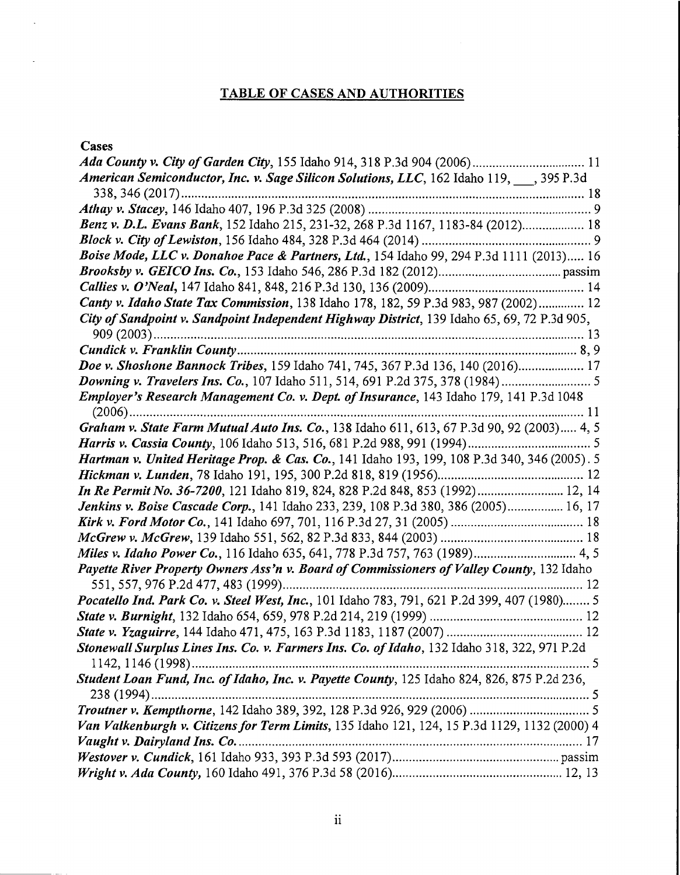## **TABLE OF CASES AND AUTHORITIES**

## **Cases**

 $\ddot{\phantom{a}}$ 

 $\ddot{\phantom{a}}$ 

| American Semiconductor, Inc. v. Sage Silicon Solutions, LLC, 162 Idaho 119, 395 P.3d         |  |  |  |  |
|----------------------------------------------------------------------------------------------|--|--|--|--|
|                                                                                              |  |  |  |  |
|                                                                                              |  |  |  |  |
| Benz v. D.L. Evans Bank, 152 Idaho 215, 231-32, 268 P.3d 1167, 1183-84 (2012) 18             |  |  |  |  |
|                                                                                              |  |  |  |  |
| Boise Mode, LLC v. Donahoe Pace & Partners, Ltd., 154 Idaho 99, 294 P.3d 1111 (2013) 16      |  |  |  |  |
|                                                                                              |  |  |  |  |
|                                                                                              |  |  |  |  |
| Canty v. Idaho State Tax Commission, 138 Idaho 178, 182, 59 P.3d 983, 987 (2002) 12          |  |  |  |  |
| City of Sandpoint v. Sandpoint Independent Highway District, 139 Idaho 65, 69, 72 P.3d 905,  |  |  |  |  |
|                                                                                              |  |  |  |  |
|                                                                                              |  |  |  |  |
| Doe v. Shoshone Bannock Tribes, 159 Idaho 741, 745, 367 P.3d 136, 140 (2016) 17              |  |  |  |  |
|                                                                                              |  |  |  |  |
| Employer's Research Management Co. v. Dept. of Insurance, 143 Idaho 179, 141 P.3d 1048       |  |  |  |  |
|                                                                                              |  |  |  |  |
| Graham v. State Farm Mutual Auto Ins. Co., 138 Idaho 611, 613, 67 P.3d 90, 92 (2003) 4, 5    |  |  |  |  |
|                                                                                              |  |  |  |  |
| Hartman v. United Heritage Prop. & Cas. Co., 141 Idaho 193, 199, 108 P.3d 340, 346 (2005). 5 |  |  |  |  |
|                                                                                              |  |  |  |  |
| In Re Permit No. 36-7200, 121 Idaho 819, 824, 828 P.2d 848, 853 (1992) 12, 14                |  |  |  |  |
| Jenkins v. Boise Cascade Corp., 141 Idaho 233, 239, 108 P.3d 380, 386 (2005) 16, 17          |  |  |  |  |
|                                                                                              |  |  |  |  |
|                                                                                              |  |  |  |  |
| Miles v. Idaho Power Co., 116 Idaho 635, 641, 778 P.3d 757, 763 (1989) 4, 5                  |  |  |  |  |
| Payette River Property Owners Ass'n v. Board of Commissioners of Valley County, 132 Idaho    |  |  |  |  |
|                                                                                              |  |  |  |  |
| Pocatello Ind. Park Co. v. Steel West, Inc., 101 Idaho 783, 791, 621 P.2d 399, 407 (1980) 5  |  |  |  |  |
|                                                                                              |  |  |  |  |
|                                                                                              |  |  |  |  |
| Stonewall Surplus Lines Ins. Co. v. Farmers Ins. Co. of Idaho, 132 Idaho 318, 322, 971 P.2d  |  |  |  |  |
|                                                                                              |  |  |  |  |
| Student Loan Fund, Inc. of Idaho, Inc. v. Payette County, 125 Idaho 824, 826, 875 P.2d 236,  |  |  |  |  |
|                                                                                              |  |  |  |  |
|                                                                                              |  |  |  |  |
| Van Valkenburgh v. Citizens for Term Limits, 135 Idaho 121, 124, 15 P.3d 1129, 1132 (2000) 4 |  |  |  |  |
|                                                                                              |  |  |  |  |
|                                                                                              |  |  |  |  |
|                                                                                              |  |  |  |  |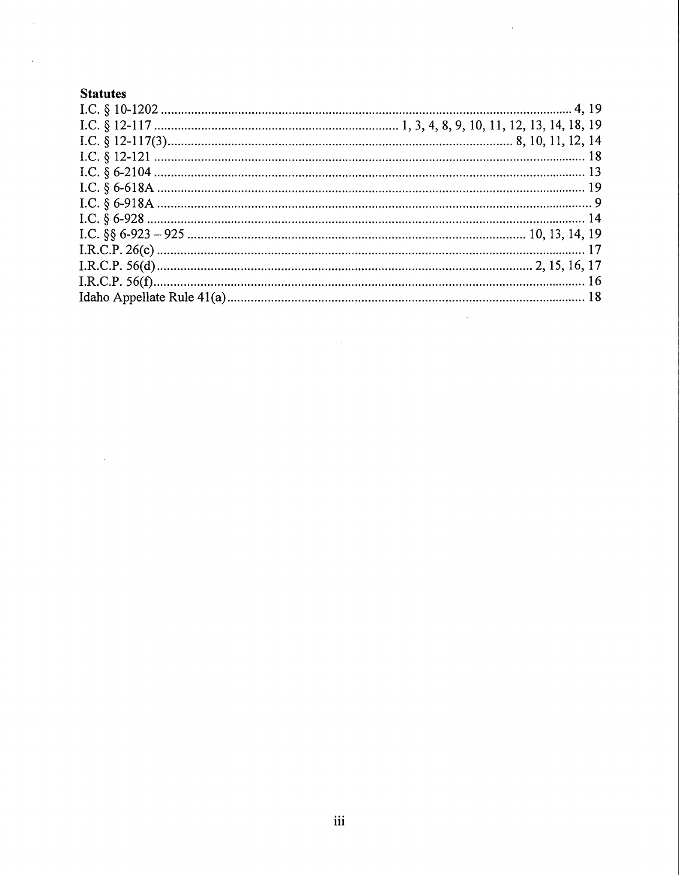## **Statutes**

 $\mathcal{L}^{\text{max}}_{\text{max}}$ 

 $\bar{z}$ 

 $\mathbb{Z}$ 

 $\mathcal{L}^{\text{max}}$ 

 $\mathcal{L}^{\text{max}}_{\text{max}}$  , where  $\mathcal{L}^{\text{max}}_{\text{max}}$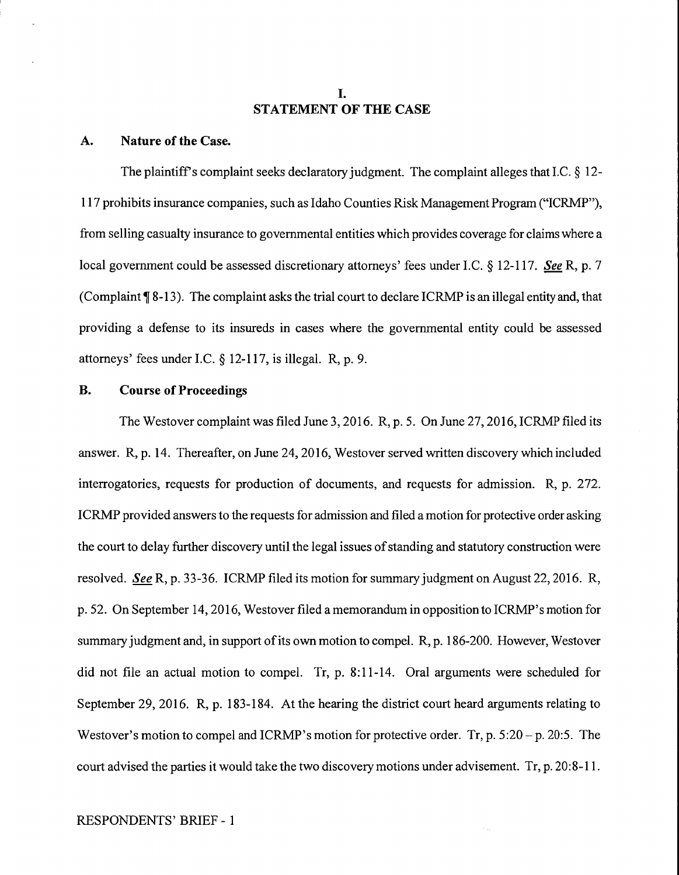#### I. **STATEMENT OF THE CASE**

#### **A. Nature of the Case.**

The plaintiff's complaint seeks declaratory judgment. The complaint alleges that I.C. § 12-117 prohibits insurance companies, such as Idaho Counties Risk Management Program ("ICRMP"), from selling casualty insurance to governmental entities which provides coverage for claims where a local government could be assessed discretionary attorneys' fees under LC. § 12-117. *See* R, p. 7 (Complaint **1**8-13). The complaint asks the trial court to declare ICRMP is an illegal entity and, that providing a defense to its insureds in cases where the governmental entity could be assessed attorneys' fees under LC. § 12-117, is illegal. R, p. 9.

#### **B. Course of Proceedings**

The Westover complaint was filed June 3, 2016. R, p. 5. On June 27, 2016, ICRMP filed its answer. R, p. 14. Thereafter, on June 24, 2016, Westover served written discovery which included interrogatories, requests for production of documents, and requests for admission. R, p. 272. ICRMP provided answers to the requests for admission and filed a motion for protective order asking the court to delay further discovery until the legal issues of standing and statutory construction were resolved. *See* R, p. 33-36. ICRMP filed its motion for summary judgment on August 22, 2016. R, p. 52. On September 14, 2016, Westover filed a memorandum in opposition to ICRMP'smotion for summary judgment and, in support of its own motion to compel. R, p. 186-200. However, Westover did not file an actual motion to compel. Tr, p. 8:11-14. Oral arguments were scheduled for September 29, 2016. R, p. 183-184. At the hearing the district court heard arguments relating to Westover's motion to compel and ICRMP's motion for protective order. Tr, p. 5:20 – p. 20:5. The court advised the parties it would take the two discovery motions under advisement. Tr, p. 20:8-11.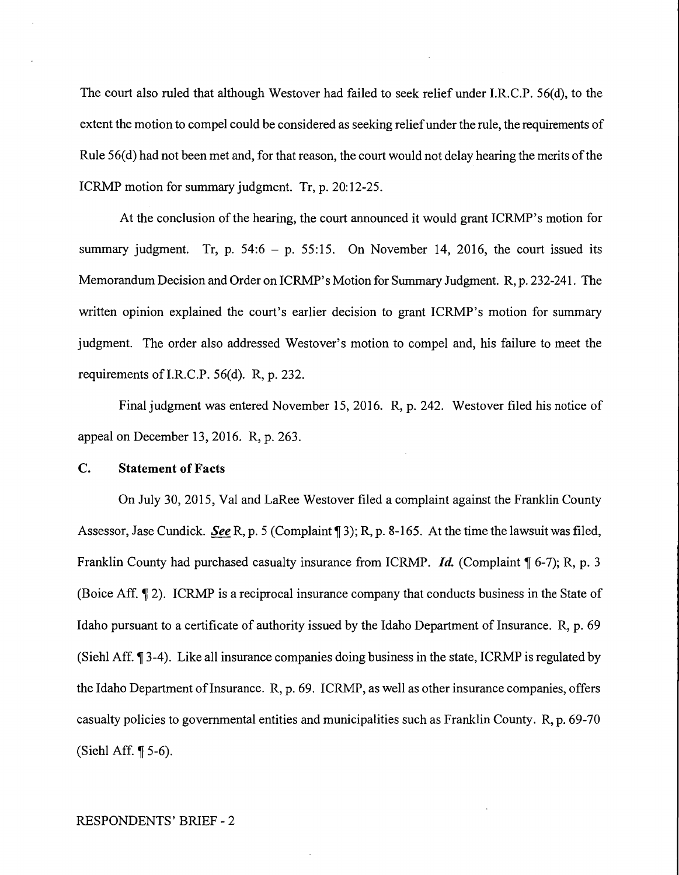The court also ruled that although Westover had failed to seek relief under I.R.C.P. 56(d), to the extent the motion to compel could be considered as seeking relief under the rule, the requirements of Rule 56(d) had not been met and, for that reason, the court would not delay hearing the merits of the ICRMP motion for summary judgment. Tr, p. 20:12-25.

At the conclusion of the hearing, the court announced it would grant ICRMP's motion for summary judgment. Tr, p.  $54:6 - p. 55:15$ . On November 14, 2016, the court issued its Memorandum Decision and Order on ICRMP's Motion for Summary Judgment. R, p. 232-241. The written opinion explained the court's earlier decision to grant ICRMP's motion for summary judgment. The order also addressed Westover's motion to compel and, his failure to meet the requirements of I.R.C.P. 56(d). R, p. 232.

Final judgment was entered November 15, 2016. R, p. 242. Westover filed his notice of appeal on December 13, 2016. R, p. 263.

#### **C. Statement of Facts**

On July 30, 2015, Val and LaRee Westover filed a complaint against the Franklin County Assessor, Jase Cundick. *See* R, p. 5 (Complaint 13); R, p. 8-165. At the time the lawsuit was filed, Franklin County had purchased casualty insurance from ICRMP. *Id.* (Complaint ¶ 6-7); R, p. 3 (Boice Aff. **J** 2). ICRMP is a reciprocal insurance company that conducts business in the State of Idaho pursuant to a certificate of authority issued by the Idaho Department of Insurance. R, p. 69 (Siehl Aff. **1**3-4). Like all insurance companies doing business in the state, ICRMP is regulated by the Idaho Department of Insurance.  $R$ , p. 69. ICRMP, as well as other insurance companies, offers casualty policies to governmental entities and municipalities such as Franklin County. R, p. 69-70 (Siehl Aff.  $\P$  5-6).

#### RESPONDENTS' BRIEF - 2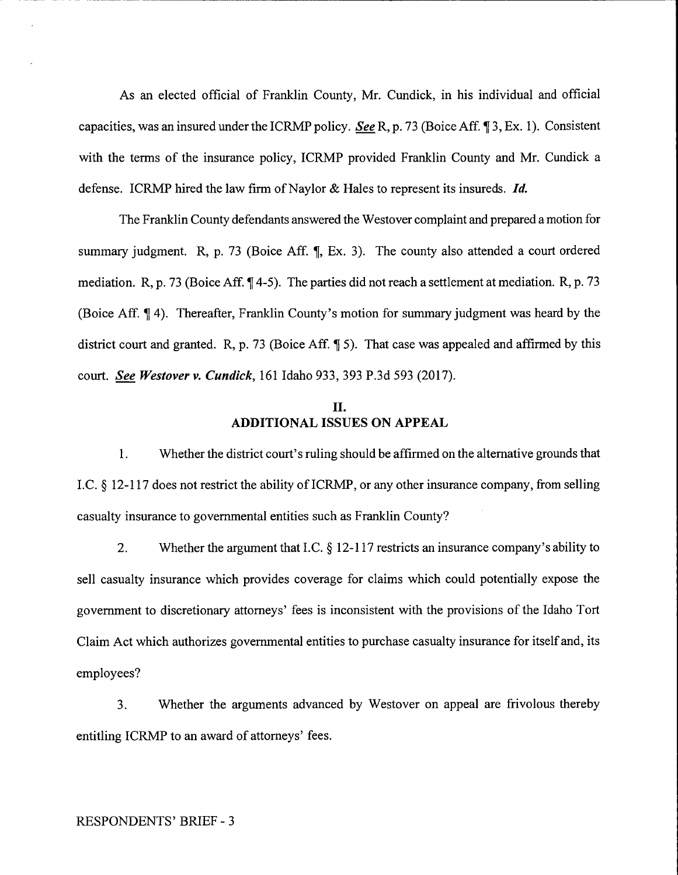As an elected official of Franklin County, Mr. Cundick, in his individual and official capacities, was an insured under the ICRMP policy. *See* R, p. 73 (Boice Aff. 13, Ex. 1). Consistent with the terms of the insurance policy, ICRMP provided Franklin County and Mr. Cundick a defense. ICRMP hired the law firm of Naylor & Hales to represent its insureds. *Id.* 

The Franklin County defendants answered the Westover complaint and prepared a motion for summary judgment. R, p. 73 (Boice Aff. ¶, Ex. 3). The county also attended a court ordered mediation. R, p. 73 (Boice Aff. ¶ 4-5). The parties did not reach a settlement at mediation. R, p. 73 (Boice Aff. ¶4). Thereafter, Franklin County's motion for summary judgment was heard by the district court and granted. R, p. 73 (Boice Aff. 1 5). That case was appealed and affirmed by this court. *See Westover v. Cundick,* 161 Idaho 933, 393 P.3d 593 (2017).

## II. **ADDITIONAL ISSUES ON APPEAL**

1. Whether the district court's ruling should be affirmed on the alternative grounds that I.C.  $\S$  12-117 does not restrict the ability of ICRMP, or any other insurance company, from selling casualty insurance to governmental entities such as Franklin County?

2. Whether the argument that I.C. § 12-117 restricts an insurance company's ability to sell casualty insurance which provides coverage for claims which could potentially expose the government to discretionary attorneys' fees is inconsistent with the provisions of the Idaho Tort Claim Act which authorizes governmental entities to purchase casualty insurance for itself and, its employees?

3. Whether the arguments advanced by Westover on appeal are frivolous thereby entitling ICRMP to an award of attorneys' fees.

#### RESPONDENTS' BRIEF - 3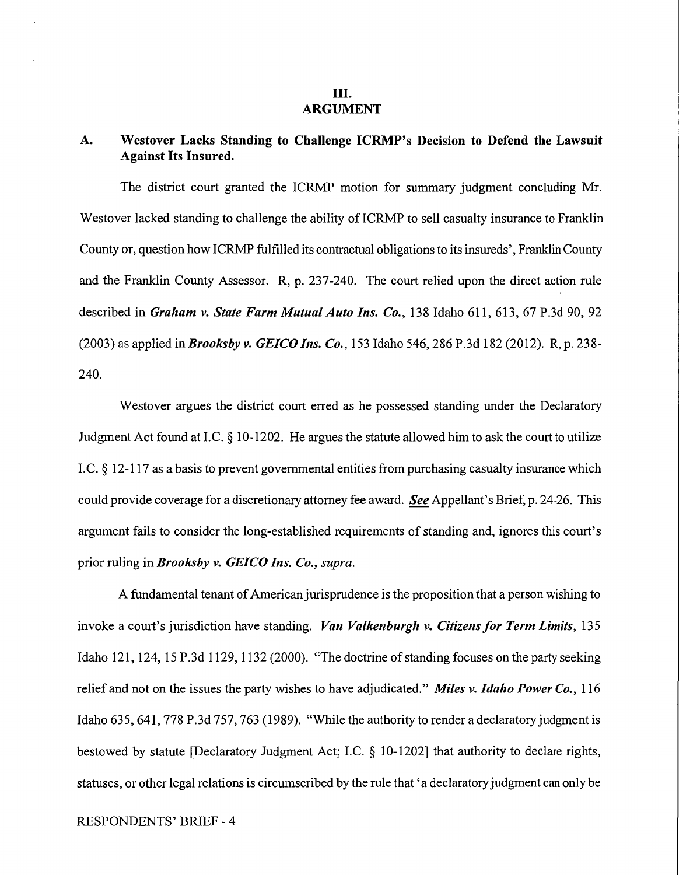#### III. **ARGUMENT**

## **A. Westover Lacks Standing to Challenge ICRMP's Decision to Defend the Lawsuit Against Its Insured.**

The district court granted the ICRMP motion for summary judgment concluding Mr. Westover lacked standing to challenge the ability of ICRMP to sell casualty insurance to Franklin County or, question how ICRMP fulfilled its contractual obligations to its insureds', Franklin County and the Franklin County Assessor. R, p. 237-240. The court relied upon the direct action rule described in *Graham v. State Farm Mutual Auto Ins. Co.,* 138 Idaho 611, 613, 67 P.3d 90, 92 (2003) as applied *inBrooksby v. GEICO Ins. Co.,* 153 Idaho 546,286 P.3d 182 (2012). R, p. 238- 240.

Westover argues the district court erred as he possessed standing under the Declaratory Judgment Act found at LC. § 10-1202. He argues the statute allowed him to ask the court to utilize LC. § 12-117 as a basis to prevent governmental entities from purchasing casualty insurance which could provide coverage for a discretionary attorney fee award. *See* Appellant's Brief, p. 24-26. This argument fails to consider the long-established requirements of standing and, ignores this court's prior ruling in *Brooksby v. GEICO Ins. Co., supra.* 

A fundamental tenant of American jurisprudence is the proposition that a person wishing to invoke a court's jurisdiction have standing. *Van Valkenburglt v. Citizens for Term Limits,* 135 Idaho 121, 124, 15 P.3d 1129, 1132 (2000). "The doctrine of standing focuses on the party seeking relief and not on the issues the party wishes to have adjudicated." *Miles v. Idaho Power Co.*, 116 Idaho 635, 641, 778 P.3d 757, 763 (1989). "While the authority to render a declaratory judgment is bestowed by statute [Declaratory Judgment Act; LC. § 10-1202] that authority to declare rights, statuses, or other legal relations is circumscribed by the rule that 'a declaratory judgment can only be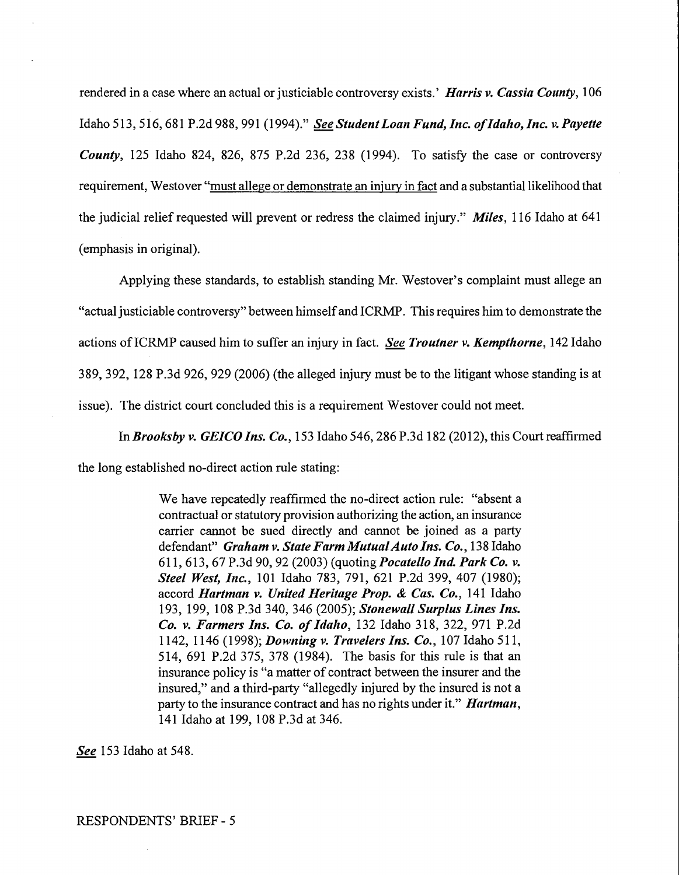rendered in a case where an actual or justiciable controversy exists.' *Harris v. Cassia County,* l 06 Idaho 513,516,681 P.2d 988,991 (1994)." *See Student Loan Fund, Inc. o/Idalto, Inc. v. Payette County,* 125 Idaho 824, 826, 875 P.2d 236, 238 (1994). To satisfy the case or controversy requirement, Westover "must allege or demonstrate an injury in fact and a substantial likelihood that the judicial relief requested will prevent or redress the claimed injury." *Miles,* 116 Idaho at 641 (emphasis in original).

Applying these standards, to establish standing Mr. Westover's complaint must allege an "actual justiciable controversy" between himself and I CRMP. This requires him to demonstrate the actions of ICRMP caused him to suffer an injury in fact. *See Troutner v. Kempthorne*, 142 Idaho 389, 392, 128 P.3d 926, 929 (2006) (the alleged injury must be to the litigant whose standing is at issue). The district court concluded this is a requirement Westover could not meet.

In *Brooks by v. GEICO Ins. Co.,* 153 Idaho 546, 286 P .3d 182 (2012), this Court reaffirmed

the long established no-direct action rule stating:

We have repeatedly reaffirmed the no-direct action rule: "absent a contractual or statutory provision authorizing the action, an insurance carrier cannot be sued directly and cannot be joined as a party defendant" *Graham v. State Farm Mutual Auto Ins. Co.*, 138 Idaho 611, 613, 67 P.3d 90, 92 (2003) (quoting *Pocatello Ind. Park Co. v. Steel West, Inc.,* 101 Idaho 783, 791, 621 P.2d 399, 407 (1980); accord *Hartman v. United Heritage Prop.* & *Cas. Co.,* 141 Idaho 193, 199, 108 P.3d 340, 346 (2005); *Stonewall Surplus Lines Ins. Co. v. Farmers Ins. Co. of Ida/to,* 132 Idaho 318, 322, 971 P.2d 1142, 1146 (1998); *Downing v. Travelers Ins. Co.,* 107 Idaho 511, 514, 691 P.2d 375, 378 (1984). The basis for this rule is that an insurance policy is "a matter of contract between the insurer and the insured," and a third-party "allegedly injured by the insured is not a party to the insurance contract and has no rights under it." *Hartman,*  141 Idaho at 199, 108 P.3d at 346.

*See* 153 Idaho at 548.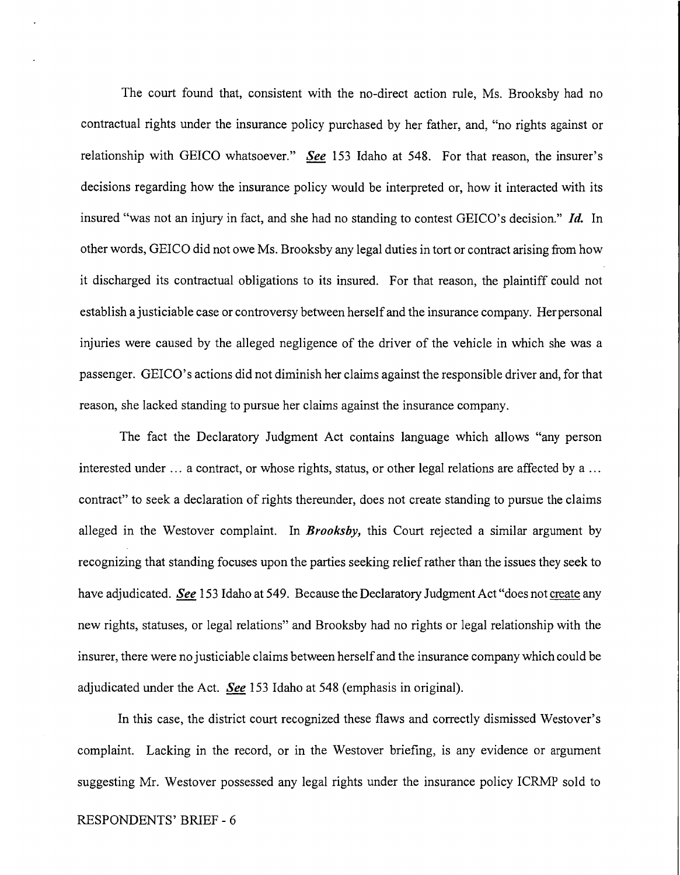The court found that, consistent with the no-direct action rule, Ms. Brooksby had no contractual rights under the insurance policy purchased by her father, and, "no rights against or relationship with GEICO whatsoever." *See* 153 Idaho at 548. For that reason, the insurer's decisions regarding how the insurance policy would be interpreted or, how it interacted with its insured "was not an injury in fact, and she had no standing to contest GEICO's decision." *Id.* In other words, GEICO did not owe Ms. Brooksby any legal duties in tort or contract arising from how it discharged its contractual obligations to its insured. For that reason, the plaintiff could not establish a justiciable case or controversy between herself and the insurance company. Her personal injuries were caused by the alleged negligence of the driver of the vehicle in which she was a passenger. GEICO's actions did not diminish her claims against the responsible driver and, for that reason, she lacked standing to pursue her claims against the insurance company.

The fact the Declaratory Judgment Act contains language which allows "any person interested under ... a contract, or whose rights, status, or other legal relations are affected by a ... contract" to seek a declaration of rights thereunder, does not create standing to pursue the claims alleged in the Westover complaint. In *Brooksby,* this Court rejected a similar argument by recognizing that standing focuses upon the parties seeking relief rather than the issues they seek to have adjudicated. *See* 153 Idaho at 549. Because the Declaratory Judgment Act "does not create any new rights, statuses, or legal relations" and Brooksby had no rights or legal relationship with the insurer, there were no justiciable claims between herself and the insurance company which could be adjudicated under the Act. *See* 153 Idaho at 548 (emphasis in original).

In this case, the district court recognized these flaws and correctly dismissed Westover's complaint. Lacking in the record, or in the Westover briefing, is any evidence or argument suggesting Mr. Westover possessed any legal rights under the insurance policy ICRMP sold to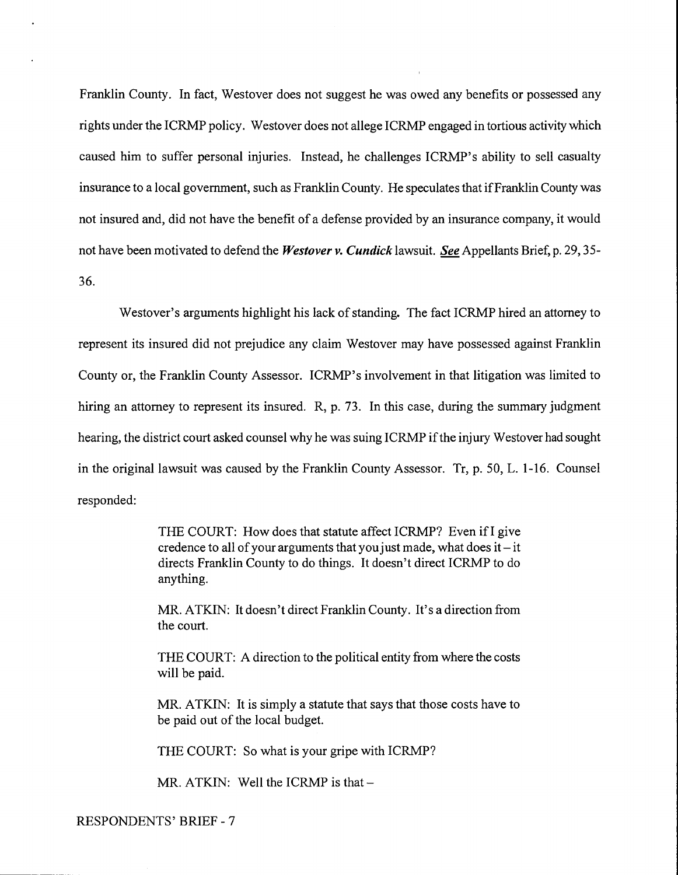Franklin County. In fact, Westover does not suggest he was owed any benefits or possessed any rights under the ICRMP policy. Westover does not allege ICRMP engaged in tortious activity which caused him to suffer personal injuries. Instead, he challenges ICRMP's ability to sell casualty insurance to a local government, such as Franklin County. He speculates that if Franklin County was not insured and, did not have the benefit of a defense provided by an insurance company, it would not have been motivated to defend the *Westover v. Cundick* lawsuit. *See* Appellants Brief, p. 29, 35- 36.

Westover's arguments highlight his lack of standing. The fact ICRMP hired an attorney to represent its insured did not prejudice any claim Westover may have possessed against Franklin County or, the Franklin County Assessor. ICRMP's involvement in that litigation was limited to hiring an attorney to represent its insured. R, p. 73. In this case, during the summary judgment hearing, the district court asked counsel why he was suing ICRMP if the injury Westover had sought in the original lawsuit was caused by the Franklin County Assessor. Tr, p. 50, L. 1-16. Counsel responded:

> THE COURT: How does that statute affect ICRMP? Even if I give credence to all of your arguments that you just made, what does it $-$ it directs Franklin County to do things. It doesn't direct ICRMP to do anything.

> MR. ATKIN: It doesn't direct Franklin County. It's a direction from the court.

> THE COURT: A direction to the political entity from where the costs will be paid.

> MR. ATKIN: It is simply a statute that says that those costs have to be paid out of the local budget.

THE COURT: So what is your gripe with ICRMP?

MR. ATKIN: Well the ICRMP is that  $-$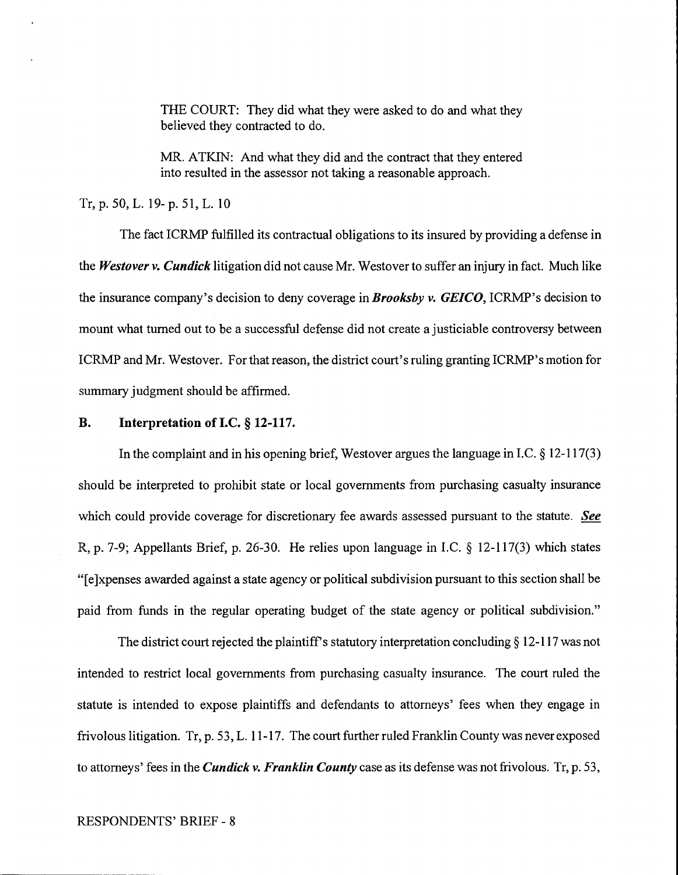THE COURT: They did what they were asked to do and what they believed they contracted to do.

MR. ATKIN: And what they did and the contract that they entered into resulted in the assessor not taking a reasonable approach.

Tr, p. 50, L. 19- p. 51, L. 10

The fact ICRMP fulfilled its contractual obligations to its insured by providing a defense in the *Westover v. Cundick* litigation did not cause Mr. Westover to suffer an injury in fact. Much like the insurance company's decision to deny coverage *inBrooksby v. GEICO,* ICRMP's decision to mount what turned out to be a successful defense did not create a justiciable controversy between ICRMP and Mr. Westover. For that reason, the district court's ruling granting ICRMP's motion for summary judgment should be affirmed.

### **B. Interpretation of J.C.** § **12-117.**

In the complaint and in his opening brief, Westover argues the language in I.C. § 12-117(3) should be interpreted to prohibit state or local governments from purchasing casualty insurance which could provide coverage for discretionary fee awards assessed pursuant to the statute. *See*  R, p. 7-9; Appellants Brief, p. 26-30. He relies upon language in I.C. § 12-117(3) which states "[ e ]xpenses awarded against a state agency or political subdivision pursuant to this section shall be paid from funds in the regular operating budget of the state agency or political subdivision."

The district court rejected the plaintiff's statutory interpretation concluding  $\S 12$ -117 was not intended to restrict local governments from purchasing casualty insurance. The court ruled the statute is intended to expose plaintiffs and defendants to attorneys' fees when they engage in frivolous litigation. Tr, p. 53, L. 11-17. The court further ruled Franklin County was never exposed to attorneys' fees in the *Cundick v. Franklin County* case as its defense was not frivolous. Tr, p. 53,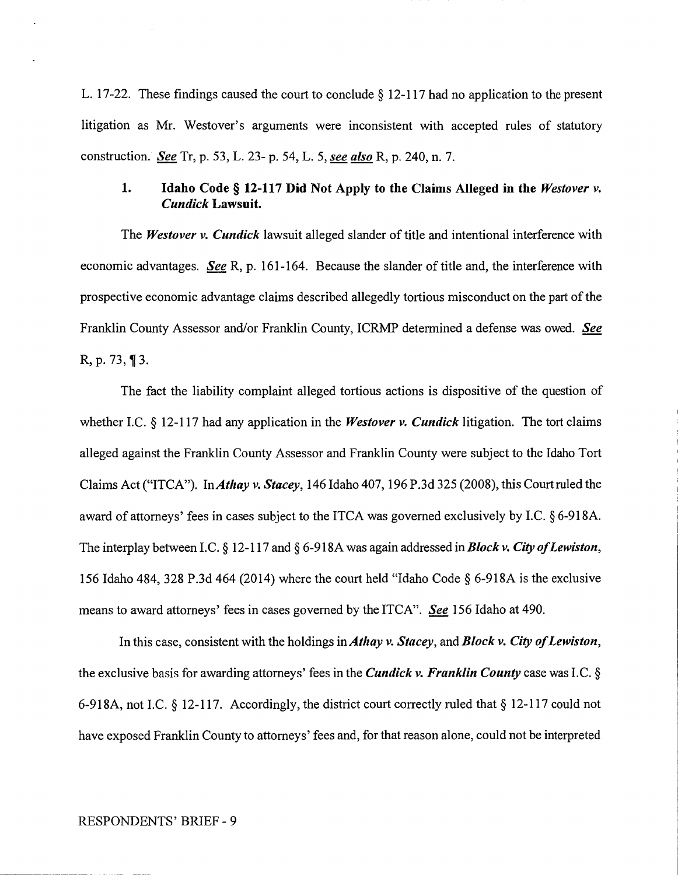L. 17-22. These findings caused the court to conclude  $\S$  12-117 had no application to the present litigation as Mr. Westover's arguments were inconsistent with accepted rules of statutory construction. *See* Tr, p. 53, L. 23- p. 54, L. 5, *see also* R, p. 240, n. 7.

## **1. Idaho Code§ 12-117 Did Not Apply to the Claims Alleged in the** *Westover v. Cundick* **Lawsuit.**

The *Westover v. Cundick* lawsuit alleged slander of title and intentional interference with economic advantages. *See* R, p. 161-164. Because the slander of title and, the interference with prospective economic advantage claims described allegedly tortious misconduct on the part of the Franklin County Assessor and/or Franklin County, ICRMP determined a defense was owed. *See*  R, p. 73, **13.** 

The fact the liability complaint alleged tortious actions is dispositive of the question of whether LC. § 12-117 had any application in the *Westover v. Cundick* litigation. The tort claims alleged against the Franklin County Assessor and Franklin County were subject to the Idaho Tort Claims Act ("ITCA"). In *Athay v. Stacey,* 146 Idaho 407, 196 P .3d 325 (2008), this Court ruled the award of attorneys' fees in cases subject to the ITCA was governed exclusively by LC. § 6-918A. The interplay between I.C. § 12-117 and § 6-918A was again addressed in **Block v. City of Lewiston**, 156 Idaho 484, 328 P.3d 464 (2014) where the court held "Idaho Code§ 6-918A is the exclusive means to award attorneys' fees in cases governed by the ITCA". *See* 156 Idaho at 490.

In this case, consistent with the holdings in *Athay v. Stacey,* and *Block v. City of Lewiston,*  the exclusive basis for awarding attorneys' fees in the *Cundick v. Franklin County* case was LC.§ 6-918A, not LC.§ 12-117. Accordingly, the district court correctly ruled that§ 12-117 could not have exposed Franklin County to attorneys' fees and, for that reason alone, could not be interpreted

#### RESPONDENTS' BRIEF- 9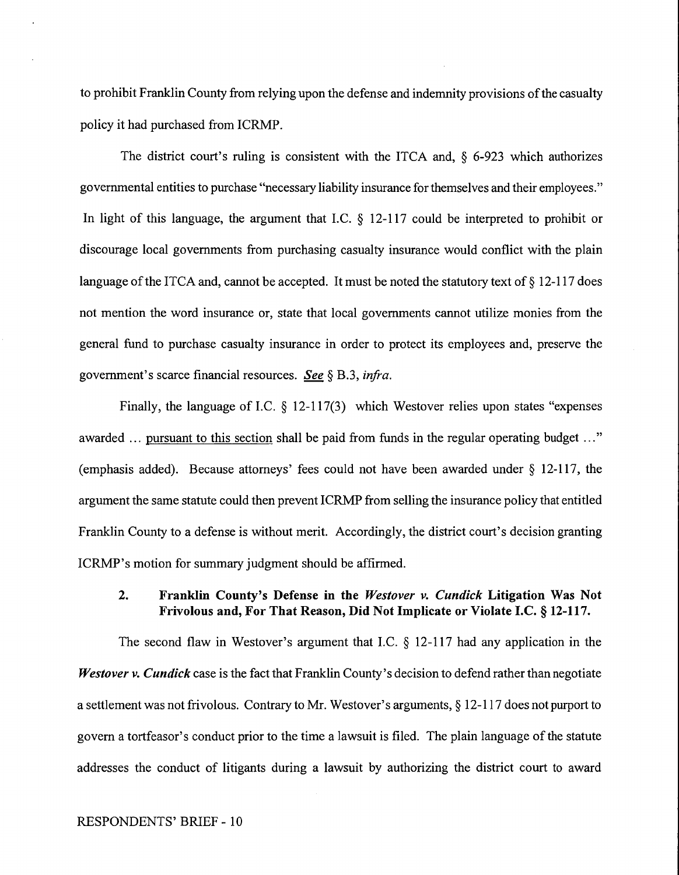to prohibit Franklin County from relying upon the defense and indemnity provisions of the casualty policy it had purchased from ICRMP.

The district court's ruling is consistent with the ITCA and, § 6-923 which authorizes governmental entities to purchase "necessary liability insurance for themselves and their employees." In light of this language, the argument that I.C.  $\S$  12-117 could be interpreted to prohibit or discourage local governments from purchasing casualty insurance would conflict with the plain language of the ITCA and, cannot be accepted. It must be noted the statutory text of  $\S$  12-117 does not mention the word insurance or, state that local governments cannot utilize monies from the general fund to purchase casualty insurance in order to protect its employees and, preserve the government's scarce financial resources. *See§* B.3, *infra.* 

Finally, the language of I.C. § 12-117(3) which Westover relies upon states "expenses awarded ... pursuant to this section shall be paid from funds in the regular operating budget ..." (emphasis added). Because attorneys' fees could not have been awarded under § 12-117, the argument the same statute could then prevent ICRMP from selling the insurance policy that entitled Franklin County to a defense is without merit. Accordingly, the district court's decision granting ICRMP's motion for summary judgment should be affirmed.

## **2. Franklin County's Defense in the** *Westover v. Cundick* **Litigation Was Not Frivolous and, For That Reason, Did Not Implicate or Violate J.C.§ 12-117.**

The second flaw in Westover's argument that I.C.  $\S$  12-117 had any application in the *Westover v. Cundick* case is the fact that Franklin County's decision to defend rather than negotiate a settlement was not frivolous. Contrary to Mr. Westover's arguments,§ 12-117 does not purport to govern a tortfeasor's conduct prior to the time a lawsuit is filed. The plain language of the statute addresses the conduct of litigants during a lawsuit by authorizing the district court to award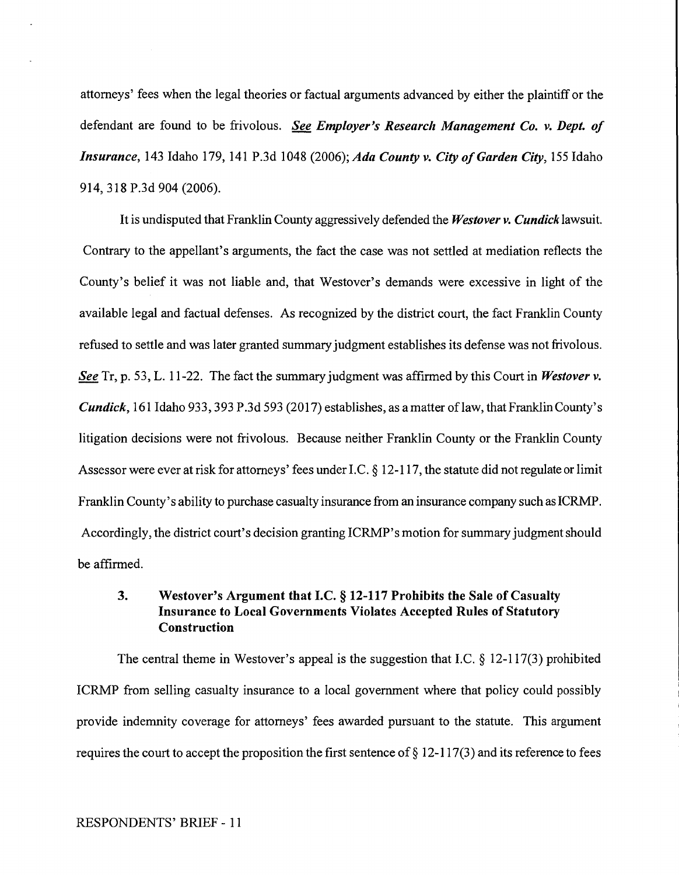attorneys' fees when the legal theories or factual arguments advanced by either the plaintiff or the defendant are found to be frivolous. *See Employer's Research Management Co. v. Dept. of Insurance,* 143 Idaho 179, 141 P.3d 1048 (2006); *Ada County v. City of Garden City,* 155 Idaho 914,318 P.3d 904 (2006).

It is undisputed that Franklin County aggressively defended the *Westover v. Cundick* lawsuit. Contrary to the appellant's arguments, the fact the case was not settled at mediation reflects the County's belief it was not liable and, that Westover's demands were excessive in light of the available legal and factual defenses. As recognized by the district court, the fact Franklin County refused to settle and was later granted summary judgment establishes its defense was not frivolous. *See* Tr, p. 53, L. 11-22. The fact the summary judgment was affirmed by this Court in *Westover v. Cundick*, 161 Idaho 933, 393 P.3d 593 (2017) establishes, as a matter of law, that Franklin County's litigation decisions were not frivolous. Because neither Franklin County or the Franklin County Assessor were ever at risk for attorneys' fees under I.C. § 12-117, the statute did not regulate or limit Franklin County's ability to purchase casualty insurance from an insurance company such as ICRMP. Accordingly, the district court's decision granting ICRMP's motion for summary judgment should be affirmed.

## **3. Westover's Argument that J.C.§ 12-117 Prohibits the Sale of Casualty Insurance to Local Governments Violates Accepted Rules of Statutory Construction**

The central theme in Westover's appeal is the suggestion that I.C. § 12-117(3) prohibited ICRMP from selling casualty insurance to a local government where that policy could possibly provide indemnity coverage for attorneys' fees awarded pursuant to the statute. This argument requires the court to accept the proposition the first sentence of  $\S 12-117(3)$  and its reference to fees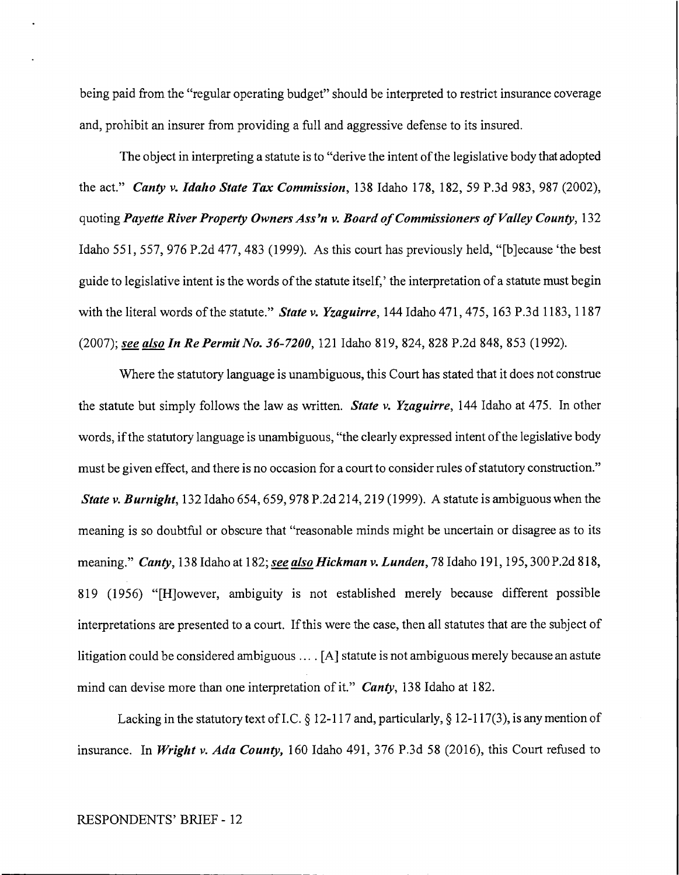being paid from the "regular operating budget" should be interpreted to restrict insurance coverage and, prohibit an insurer from providing a full and aggressive defense to its insured.

The object in interpreting a statute is to "derive the intent of the legislative body that adopted the act." *Canty v. Idalio State Tax Commission,* 138 Idaho 178, 182, 59 P.3d 983, 987 (2002), quoting *Payette River Property Owners Ass'n v. Board of Commissioners of Valley County*, 132 Idaho 551, 557, 976 P.2d 477,483 (1999). As this court has previously held, "[b]ecause 'the best guide to legislative intent is the words of the statute itself,' the interpretation of a statute must begin with the literal words of the statute." *State v. Yzaguirre*, 144 Idaho 471, 475, 163 P.3d 1183, 1187 *(2007);* see also In Re Permit No. 36-7200, 121 Idaho 819, 824, 828 P.2d 848, 853 (1992).

Where the statutory language is unambiguous, this Court has stated that it does not construe the statute but simply follows the law as written. *State v. Yzaguirre,* 144 Idaho at 475. In other words, if the statutory language is unambiguous, "the clearly expressed intent of the legislative body must be given effect, and there is no occasion for a court to consider rules of statutory construction." *State v. Burnight*, 132 Idaho 654, 659, 978 P.2d 214, 219 (1999). A statute is ambiguous when the meaning is so doubtful or obscure that "reasonable minds might be uncertain or disagree as to its meaning." *Canty*, 138 Idaho at 182; *see also Hickman v. Lunden*, 78 Idaho 191, 195, 300 P.2d 818, 819 (1956) "[H]owever, ambiguity is not established merely because different possible interpretations are presented to a court. If this were the case, then all statutes that are the subject of litigation could be considered ambiguous .... [A] statute is not ambiguous merely because an astute mind can devise more than one interpretation of it." *Canty*, 138 Idaho at 182.

Lacking in the statutory text of I.C. § 12-117 and, particularly, § 12-117(3), is any mention of insurance. In *Wriglit v. Ada County,* 160 Idaho 491, 376 P.3d 58 (2016), this Court refused to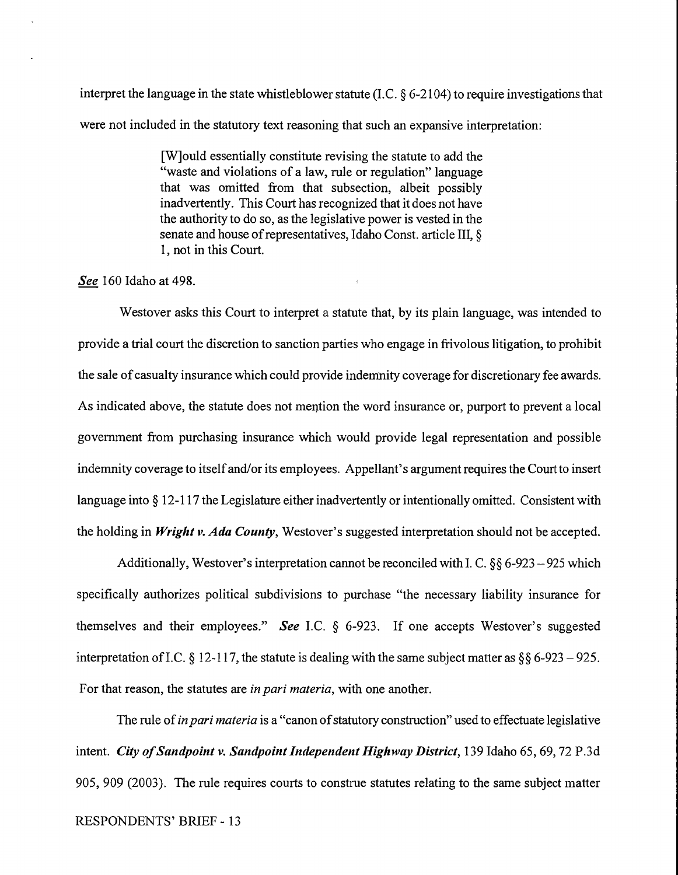interpret the language in the state whistleblower statute (I.C. § 6-2104) to require investigations that were not included in the statutory text reasoning that such an expansive interpretation:

> [W]ould essentially constitute revising the statute to add the "waste and violations of a law, rule or regulation" language that was omitted from that subsection, albeit possibly inadvertently. This Court has recognized that it does not have the authority to do so, as the legislative power is vested in the senate and house of representatives, Idaho Const. article III, § 1, not in this Court.

#### *See* 160 Idaho at 498.

Westover asks this Court to interpret a statute that, by its plain language, was intended to provide a trial court the discretion to sanction parties who engage in frivolous litigation, to prohibit the sale of casualty insurance which could provide indemnity coverage for discretionary fee awards. As indicated above, the statute does not mention the word insurance or, purport to prevent a local government from purchasing insurance which would provide legal representation and possible indemnity coverage to itself and/or its employees. Appellant's argument requires the Court to insert language into § 12-117 the Legislature either inadvertently or intentionally omitted. Consistent with the holding in *Wright v. Ada County,* Westover's suggested interpretation should not be accepted.

Additionally, Westover's interpretation cannot be reconciled with I. C.  $\S\S 6$ -923 -925 which specifically authorizes political subdivisions to purchase "the necessary liability insurance for themselves and their employees." *See* I.C. § 6-923. If one accepts Westover's suggested interpretation of I.C. § 12-117, the statute is dealing with the same subject matter as §§ 6-923 – 925. For that reason, the statutes are *in pari materia,* with one another.

The rule of *in pari materia* is a "canon of statutory construction" used to effectuate legislative intent. *City of Sandpoint v. Sandpoint Independent Highway District,* 139 Idaho 65, 69, 72 P.3d 905, 909 (2003). The rule requires courts to construe statutes relating to the same subject matter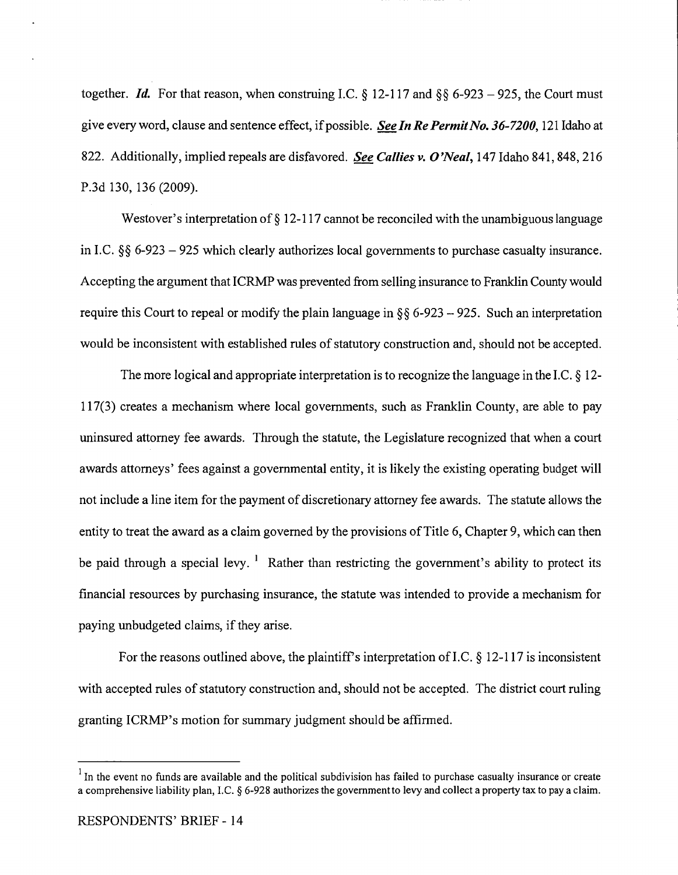together. *Id.* For that reason, when construing I.C.  $\S$  12-117 and  $\S$  $\S$  6-923 - 925, the Court must give every word, clause and sentence effect, if possible. *See In Re Permit No. 36-7200,* 121 Idaho at 822. Additionally, implied repeals are disfavored. *See Callies v. O'Neal,* 147 Idaho 841,848,216 P.3d 130, 136 (2009).

Westover's interpretation of  $\S 12$ -117 cannot be reconciled with the unambiguous language in I.C.  $\S$ § 6-923 - 925 which clearly authorizes local governments to purchase casualty insurance. Accepting the argument that ICRMP was prevented from selling insurance to Franklin County would require this Court to repeal or modify the plain language in  $\S$ § 6-923 - 925. Such an interpretation would be inconsistent with established rules of statutory construction and, should not be accepted.

The more logical and appropriate interpretation is to recognize the language in the I.C. § 12-117(3) creates a mechanism where local governments, such as Franklin County, are able to pay uninsured attorney fee awards. Through the statute, the Legislature recognized that when a court awards attorneys' fees against a governmental entity, it is likely the existing operating budget will not include a line item for the payment of discretionary attorney fee awards. The statute allows the entity to treat the award as a claim governed by the provisions of Title 6, Chapter 9, which can then be paid through a special levy.  $\frac{1}{1}$  Rather than restricting the government's ability to protect its financial resources by purchasing insurance, the statute was intended to provide a mechanism for paying unbudgeted claims, if they arise.

For the reasons outlined above, the plaintiff's interpretation of I.C.  $\S$  12-117 is inconsistent with accepted rules of statutory construction and, should not be accepted. The district court ruling granting ICRMP's motion for summary judgment should be affirmed.

 $<sup>1</sup>$  In the event no funds are available and the political subdivision has failed to purchase casualty insurance or create</sup> a comprehensive liability plan, I.C. § 6-928 authorizes the govemmentto levy and collect a property tax to pay a claim.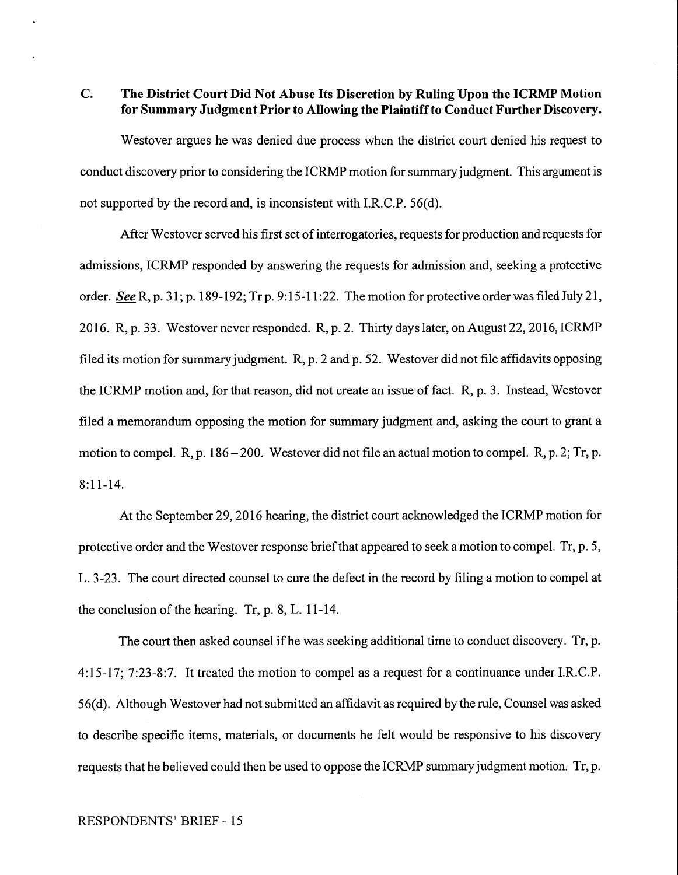**C. The District Court Did Not Abuse Its Discretion by Ruling Upon the ICRMP Motion for Summary Judgment Prior to Allowing the Plaintiff to Conduct Further Discovery.** 

Westover argues he was denied due process when the district court denied his request to conduct discovery prior to considering the ICRMP motion for summary judgment. This argument is not supported by the record and, is inconsistent with I.R.C.P. 56(d).

After Westover served his first set of interrogatories, requests for production and requests for admissions, ICRMP responded by answering the requests for admission and, seeking a protective order. *See* R, p. 31; p. 189-192; Tr p. 9:15-11:22. The motion for protective order was filed July 21, 2016. R, p. 33. Westover never responded. R, p. 2. Thirty days later, on August 22, 2016, ICRMP filed its motion for summary judgment. R, p. 2 and p. 52. Westover did not file affidavits opposing the ICRMP motion and, for that reason, did not create an issue of fact. R, p. 3. Instead, Westover filed a memorandum opposing the motion for summary judgment and, asking the court to grant a motion to compel. R, p. 186-200. Westover did not file an actual motion to compel. R, p. 2; Tr, p. 8:11-14.

At the September 29, 2016 hearing, the district court acknowledged the ICRMP motion for protective order and the Westover response brief that appeared to seek a motion to compel. Tr, p. 5, L. 3-23. The court directed counsel to cure the defect in the record by filing a motion to compel at the conclusion of the hearing. Tr, p. 8, L. 11-14.

The court then asked counsel if he was seeking additional time to conduct discovery. Tr, p. 4:15-17; 7:23-8:7. It treated the motion to compel as a request for a continuance under I.R.C.P. 56(d). Although Westover had not submitted an affidavit as required by the rule, Counsel was asked to describe specific items, materials, or documents he felt would be responsive to his discovery requests that he believed could then be used to oppose the ICRMP summary judgment motion. Tr, p.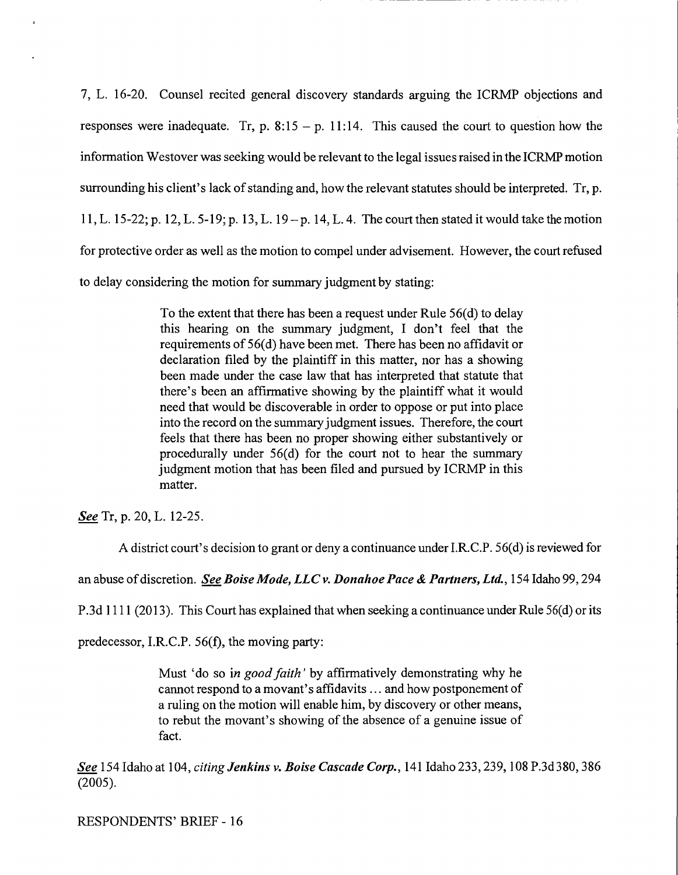7, L. 16-20. Counsel recited general discovery standards arguing the ICRMP objections and responses were inadequate. Tr, p.  $8:15 - p$ . 11:14. This caused the court to question how the information Westover was seeking would be relevant to the legal issues raised in the ICRMP motion surrounding his client's lack of standing and, how the relevant statutes should be interpreted. Tr, p. 11, L. 15-22; p. 12, L. 5-19; p. 13, L. 19-p. 14, L. 4. The court then stated it would take the motion for protective order as well as the motion to compel under advisement. However, the court refused to delay considering the motion for summary judgment by stating:

> To the extent that there has been a request under Rule 56(d) to delay this hearing on the summary judgment, I don't feel that the requirements of 56(d) have been met. There has been no affidavit or declaration filed by the plaintiff in this matter, nor has a showing been made under the case law that has interpreted that statute that there's been an affirmative showing by the plaintiff what it would need that would be discoverable in order to oppose or put into place into the record on the summary judgment issues. Therefore, the court feels that there has been no proper showing either substantively or procedurally under  $56(d)$  for the court not to hear the summary judgment motion that has been filed and pursued by ICRMP in this matter.

*See* Tr, p. 20, L. 12-25.

A district court's decision to grant or deny a continuance under I.R.C.P. 56(d) is reviewed for

an abuse of discretion. *See Boise Mode, LLC v. Donahoe Pace* & *Partners, Ltd.,* 154 Idaho 99,294

P.3d 1111 (2013). This Court has explained that when seeking a continuance under Rule 56(d) or its

predecessor, I.R.C.P. 56(f), the moving party:

Must 'do so in *good faith'* by affirmatively demonstrating why he cannot respond to a movant's affidavits ... and how postponement of a ruling on the motion will enable him, by discovery or other means, to rebut the movant's showing of the absence of a genuine issue of fact.

*See* 154 Idaho at 104, *citing Jenkins v. Boise Cascade Corp.,* 141 Idaho 233,239, 108 P.3d380, 386 (2005).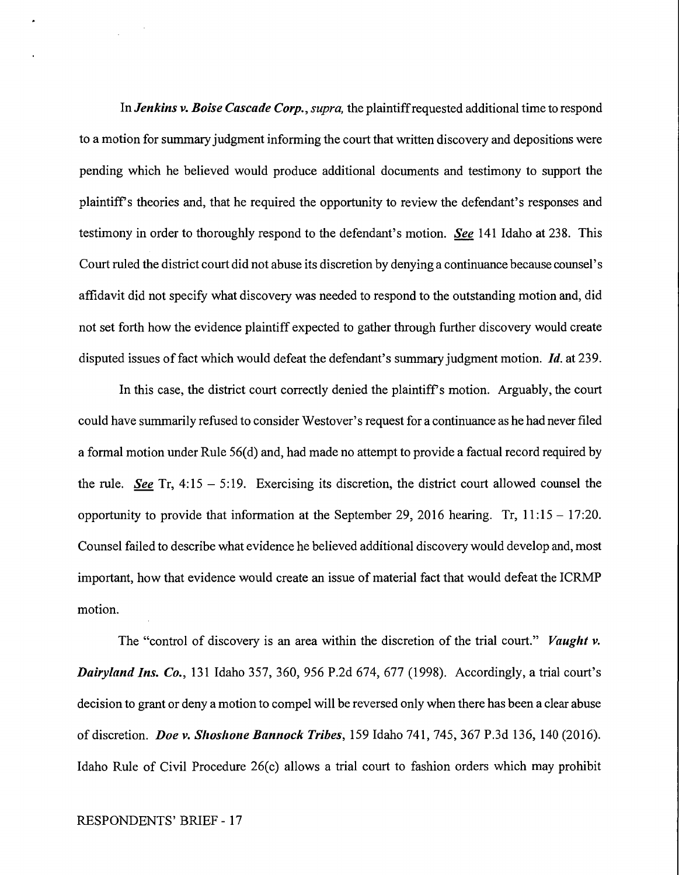In *Jenkins v. Boise Cascade Corp., supra,* the plaintiff requested additional time to respond to a motion for summary judgment informing the court that written discovery and depositions were pending which he believed would produce additional documents and testimony to support the plaintiff's theories and, that he required the opportunity to review the defendant's responses and testimony in order to thoroughly respond to the defendant's motion. *See* 141 Idaho at 238. This Court ruled the district court did not abuse its discretion by denying a continuance because counsel's affidavit did not specify what discovery was needed to respond to the outstanding motion and, did not set forth how the evidence plaintiff expected to gather through further discovery would create disputed issues of fact which would defeat the defendant's summary judgment motion. *Id.* at 239.

In this case, the district court correctly denied the plaintiff's motion. Arguably, the court could have summarily refused to consider Westover' s request for a continuance as he had never filed a formal motion under Rule 56(d) and, had made no attempt to provide a factual record required by the rule. *See* Tr, 4:15 - 5:19. Exercising its discretion, the district court allowed counsel the opportunity to provide that information at the September 29, 2016 hearing. Tr,  $11:15 - 17:20$ . Counsel failed to describe what evidence he believed additional discovery would develop and, most important, how that evidence would create an issue of material fact that would defeat the ICRMP motion.

The "control of discovery is an area within the discretion of the trial court." *Vaught v. Dairyland Ins. Co.,* 131 Idaho 357, 360, 956 P.2d 674, 677 (1998). Accordingly, a trial court's decision to grant or deny a motion to compel will be reversed only when there has been a clear abuse of discretion. *Doe v. Shoshone Bannock Tribes,* 159 Idaho 741, 745, 367 P.3d 136, 140 (2016). Idaho Rule of Civil Procedure 26(c) allows a trial court to fashion orders which may prohibit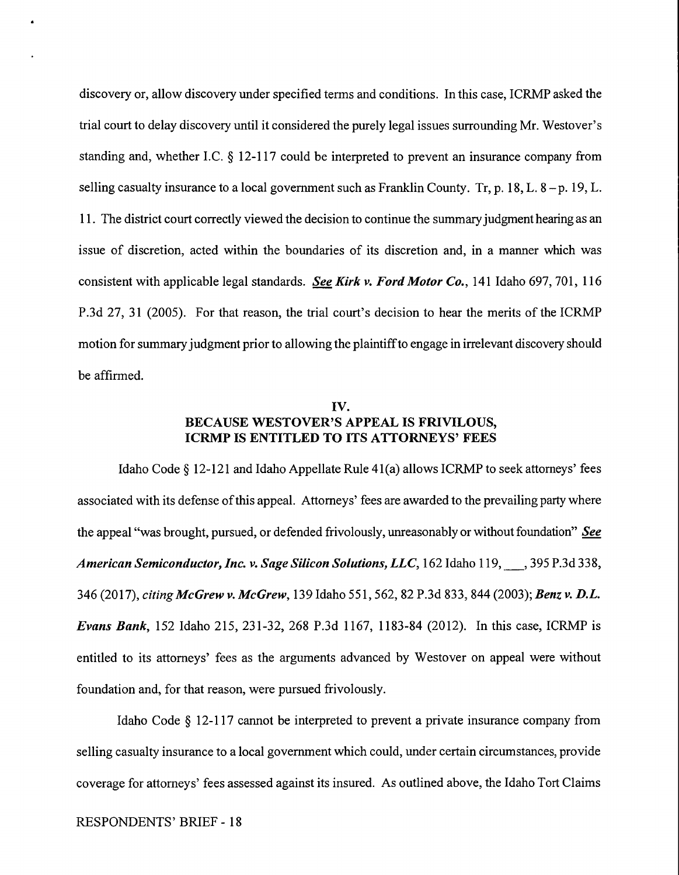discovery or, allow discovery under specified terms and conditions. In this case, ICRMP asked the trial court to delay discovery until it considered the purely legal issues surrounding Mr. Westover's standing and, whether LC. § 12-117 could be interpreted to prevent an insurance company from selling casualty insurance to a local government such as Franklin County. Tr, p. 18, L,  $8-p$ . 19, L. 11. The district court correctly viewed the decision to continue the summary judgment hearing as an issue of discretion, acted within the boundaries of its discretion and, in a manner which was consistent with applicable legal standards. *See Kirk v. Ford Motor Co.,* 141 Idaho 697, 701, 116 P.3d 27, 31 (2005). For that reason, the trial court's decision to hear the merits of the ICRMP motion for summary judgment prior to allowing the plaintiff to engage in irrelevant discovery should be affirmed.

## **IV. BECAUSE WESTOVER'S APPEAL IS FRIVILOUS, ICRMP IS ENTITLED TO ITS ATTORNEYS' FEES**

Idaho Code  $\S$  12-121 and Idaho Appellate Rule 41(a) allows ICRMP to seek attorneys' fees associated with its defense of this appeal. Attorneys' fees are awarded to the prevailing party where the appeal "was brought, pursued, or defended frivolously, unreasonably or without foundation" *See American Semiconductor, Inc. v. Sage Silicon Solutions, LLC,* 162 Idaho 119, \_, 395 P.3d 338, 346 (2017), *citing McGrew v. McGrew,* 139 Idaho 551,562, 82 P.3d 833,844 (2003); *Benz v. D.L. Evans Bank,* 152 Idaho 215, 231-32, 268 P.3d 1167, 1183-84 (2012). In this case, ICRMP is entitled to its attorneys' fees as the arguments advanced by Westover on appeal were without foundation and, for that reason, were pursued frivolously.

Idaho Code § 12-117 cannot be interpreted to prevent a private insurance company from selling casualty insurance to a local government which could, under certain circumstances, provide coverage for attorneys' fees assessed against its insured. As outlined above, the Idaho Tort Claims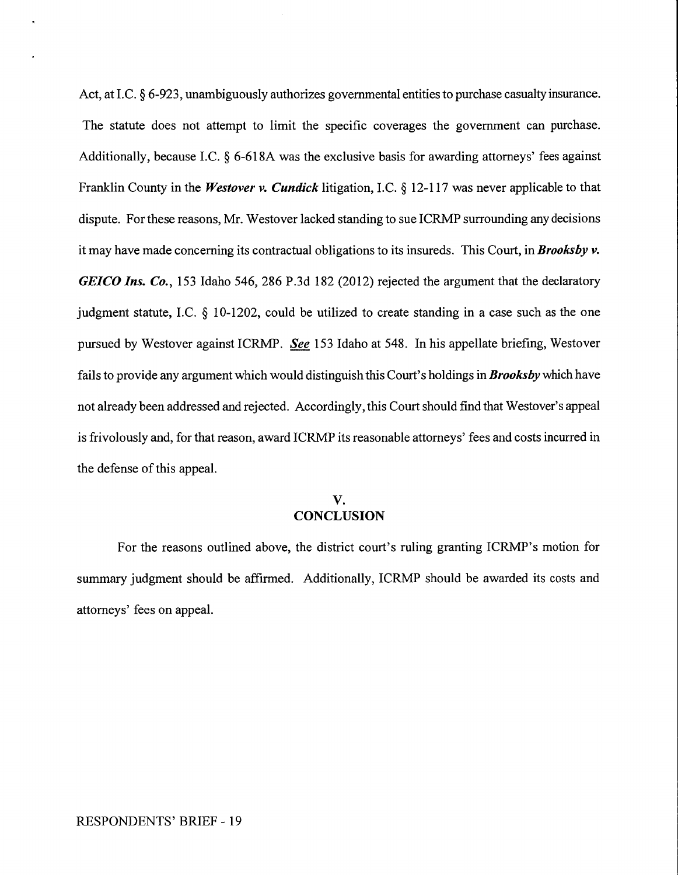Act, at I.C. § 6-923, unambiguously authorizes governmental entities to purchase casualty insurance. The statute does not attempt to limit the specific coverages the government can purchase. Additionally, because I.C. § 6-618A was the exclusive basis for awarding attorneys' fees against Franklin County in the *Westover v. Cundick* litigation, LC.§ 12-117 was never applicable to that dispute. For these reasons, Mr. Westover lacked standing to sue ICRMP surrounding any decisions it may have made concerning its contractual obligations to its insureds. This Court, in *Brooksby v. GEICO Ins. Co.,* 153 Idaho 546, 286 P.3d 182 (2012) rejected the argument that the declaratory judgment statute, LC. § 10-1202, could be utilized to create standing in a case such as the one pursued by Westover against ICRMP. *See* 153 Idaho at 548. In his appellate briefing, Westover fails to provide any argument which would distinguish this Court's holdings in *Brooks by* which have not already been addressed and rejected. Accordingly, this Court should find that Westover's appeal is frivolously and, for that reason, award ICRMP its reasonable attorneys' fees and costs incurred in the defense of this appeal.

## **V. CONCLUSION**

For the reasons outlined above, the district court's ruling granting ICRMP's motion for summary judgment should be affirmed. Additionally, ICRMP should be awarded its costs and attorneys' fees on appeal.